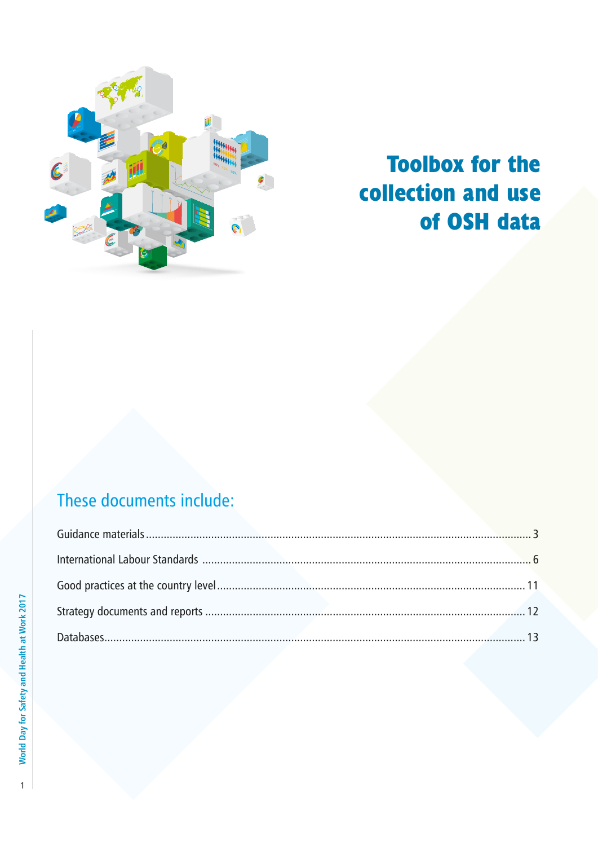

# **Toolbox for the collection and use of OSH data**

# These documents include: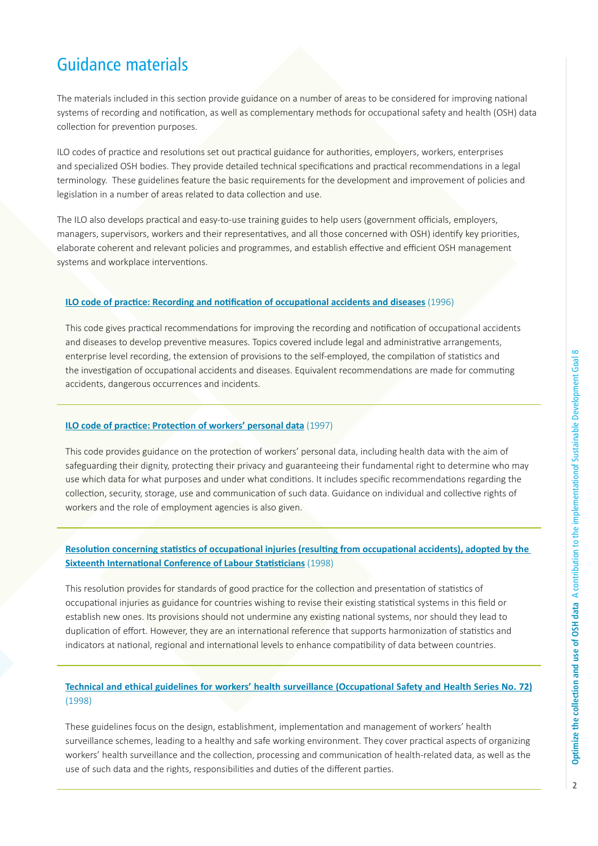# Guidance materials

The materials included in this section provide guidance on a number of areas to be considered for improving national systems of recording and notification, as well as complementary methods for occupational safety and health (OSH) data collection for prevention purposes.

ILO codes of practice and resolutions set out practical guidance for authorities, employers, workers, enterprises and specialized OSH bodies. They provide detailed technical specifications and practical recommendations in a legal terminology. These guidelines feature the basic requirements for the development and improvement of policies and legislation in a number of areas related to data collection and use.

The ILO also develops practical and easy-to-use training guides to help users (government officials, employers, managers, supervisors, workers and their representatives, and all those concerned with OSH) identify key priorities, elaborate coherent and relevant policies and programmes, and establish effective and efficient OSH management systems and workplace interventions.

# **ILO code of practice: Recording and notification of occupational accidents and diseases** (1996)

This code gives practical recommendations for improving the recording and notification of occupational accidents and diseases to develop preventive measures. Topics covered include legal and administrative arrangements, enterprise level recording, the extension of provisions to the self-employed, the compilation of statistics and the investigation of occupational accidents and diseases. Equivalent recommendations are made for commuting accidents, dangerous occurrences and incidents.

# **ILO code of practice: Protection of workers' personal data** (1997)

This code provides guidance on the protection of workers' personal data, including health data with the aim of safeguarding their dignity, protecting their privacy and guaranteeing their fundamental right to determine who may use which data for what purposes and under what conditions. It includes specific recommendations regarding the collection, security, storage, use and communication of such data. Guidance on individual and collective rights of workers and the role of employment agencies is also given.

# **Resolution concerning statistics of occupational injuries (resulting from occupational accidents), adopted by the Sixteenth International Conference of Labour Statisticians** (1998)

This resolution provides for standards of good practice for the collection and presentation of statistics of occupational injuries as guidance for countries wishing to revise their existing statistical systems in this field or establish new ones. Its provisions should not undermine any existing national systems, nor should they lead to duplication of effort. However, they are an international reference that supports harmonization of statistics and indicators at national, regional and international levels to enhance compatibility of data between countries.

# **Technical and ethical guidelines for workers' health surveillance (Occupational Safety and Health Series No. 72)** (1998)

These guidelines focus on the design, establishment, implementation and management of workers' health surveillance schemes, leading to a healthy and safe working environment. They cover practical aspects of organizing workers' health surveillance and the collection, processing and communication of health-related data, as well as the use of such data and the rights, responsibilities and duties of the different parties.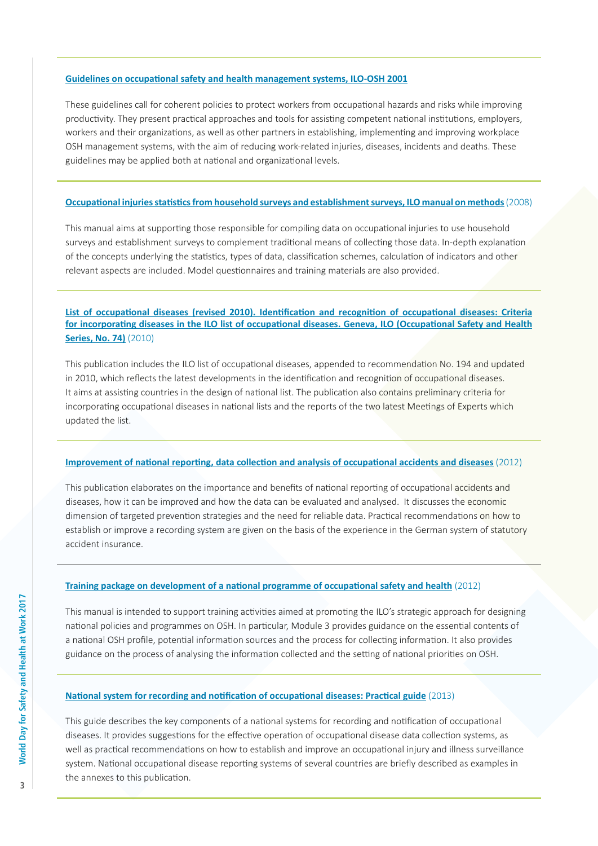#### **Guidelines on occupational safety and health management systems, ILO-OSH 2001**

These guidelines call for coherent policies to protect workers from occupational hazards and risks while improving productivity. They present practical approaches and tools for assisting competent national institutions, employers, workers and their organizations, as well as other partners in establishing, implementing and improving workplace OSH management systems, with the aim of reducing work-related injuries, diseases, incidents and deaths. These guidelines may be applied both at national and organizational levels.

## **Occupational injuries statistics from household surveys and establishment surveys, ILO manual on methods** (2008)

This manual aims at supporting those responsible for compiling data on occupational injuries to use household surveys and establishment surveys to complement traditional means of collecting those data. In-depth explanation of the concepts underlying the statistics, types of data, classification schemes, calculation of indicators and other relevant aspects are included. Model questionnaires and training materials are also provided.

# **List of occupational diseases (revised 2010). Identification and recognition of occupational diseases: Criteria for incorporating diseases in the ILO list of occupational diseases. Geneva, ILO (Occupational Safety and Health Series, No. 74)** (2010)

This publication includes the ILO list of occupational diseases, appended to recommendation No. 194 and updated in 2010, which reflects the latest developments in the identification and recognition of occupational diseases. It aims at assisting countries in the design of national list. The publication also contains preliminary criteria for incorporating occupational diseases in national lists and the reports of the two latest Meetings of Experts which updated the list.

## **Improvement of national reporting, data collection and analysis of occupational accidents and diseases** (2012)

This publication elaborates on the importance and benefits of national reporting of occupational accidents and diseases, how it can be improved and how the data can be evaluated and analysed. It discusses the economic dimension of targeted prevention strategies and the need for reliable data. Practical recommendations on how to establish or improve a recording system are given on the basis of the experience in the German system of statutory accident insurance.

# **Training package on development of a national programme of occupational safety and health** (2012)

This manual is intended to support training activities aimed at promoting the ILO's strategic approach for designing national policies and programmes on OSH. In particular, Module 3 provides guidance on the essential contents of a national OSH profile, potential information sources and the process for collecting information. It also provides guidance on the process of analysing the information collected and the setting of national priorities on OSH.

#### **National system for recording and notification of occupational diseases: Practical guide** (2013)

This guide describes the key components of a national systems for recording and notification of occupational diseases. It provides suggestions for the effective operation of occupational disease data collection systems, as well as practical recommendations on how to establish and improve an occupational injury and illness surveillance system. National occupational disease reporting systems of several countries are briefly described as examples in the annexes to this publication.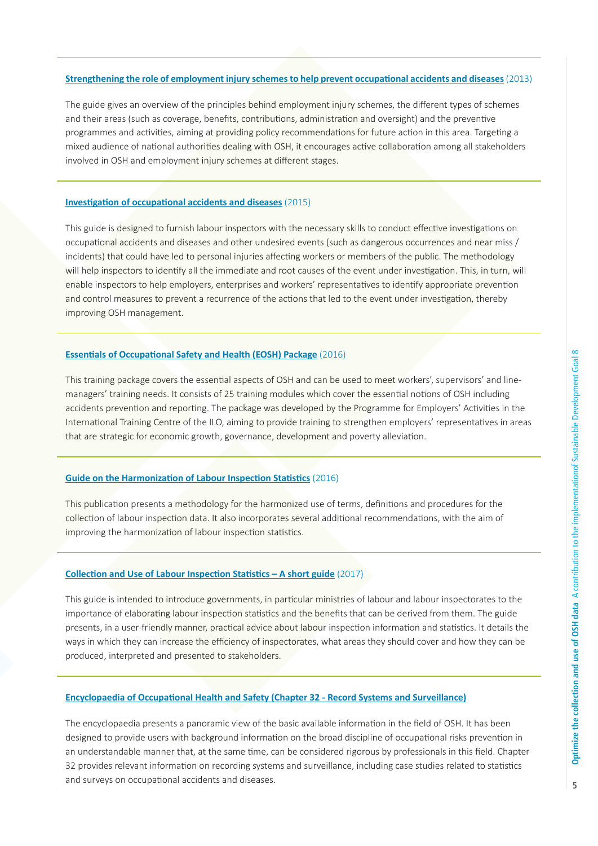#### **Strengthening the role of employment injury schemes to help prevent occupational accidents and diseases** (2013)

The guide gives an overview of the principles behind employment injury schemes, the different types of schemes and their areas (such as coverage, benefits, contributions, administration and oversight) and the preventive programmes and activities, aiming at providing policy recommendations for future action in this area. Targeting a mixed audience of national authorities dealing with OSH, it encourages active collaboration among all stakeholders involved in OSH and employment injury schemes at different stages.

## **Investigation of occupational accidents and diseases** (2015)

This guide is designed to furnish labour inspectors with the necessary skills to conduct effective investigations on occupational accidents and diseases and other undesired events (such as dangerous occurrences and near miss / incidents) that could have led to personal injuries affecting workers or members of the public. The methodology will help inspectors to identify all the immediate and root causes of the event under investigation. This, in turn, will enable inspectors to help employers, enterprises and workers' representatives to identify appropriate prevention and control measures to prevent a recurrence of the actions that led to the event under investigation, thereby improving OSH management.

# **Essentials of Occupational Safety and Health (EOSH) Package** (2016)

This training package covers the essential aspects of OSH and can be used to meet workers', supervisors' and linemanagers' training needs. It consists of 25 training modules which cover the essential notions of OSH including accidents prevention and reporting. The package was developed by the Programme for Employers' Activities in the International Training Centre of the ILO, aiming to provide training to strengthen employers' representatives in areas that are strategic for economic growth, governance, development and poverty alleviation.

# **Guide on the Harmonization of Labour Inspection Statistics** (2016)

This publication presents a methodology for the harmonized use of terms, definitions and procedures for the collection of labour inspection data. It also incorporates several additional recommendations, with the aim of improving the harmonization of labour inspection statistics.

#### **Collection and Use of Labour Inspection Statistics – A short guide** (2017)

This guide is intended to introduce governments, in particular ministries of labour and labour inspectorates to the importance of elaborating labour inspection statistics and the benefits that can be derived from them. The guide presents, in a user-friendly manner, practical advice about labour inspection information and statistics. It details the ways in which they can increase the efficiency of inspectorates, what areas they should cover and how they can be produced, interpreted and presented to stakeholders.

### **Encyclopaedia of Occupational Health and Safety (Chapter 32 - Record Systems and Surveillance)**

The encyclopaedia presents a panoramic view of the basic available information in the field of OSH. It has been designed to provide users with background information on the broad discipline of occupational risks prevention in an understandable manner that, at the same time, can be considered rigorous by professionals in this field. Chapter 32 provides relevant information on recording systems and surveillance, including case studies related to statistics and surveys on occupational accidents and diseases.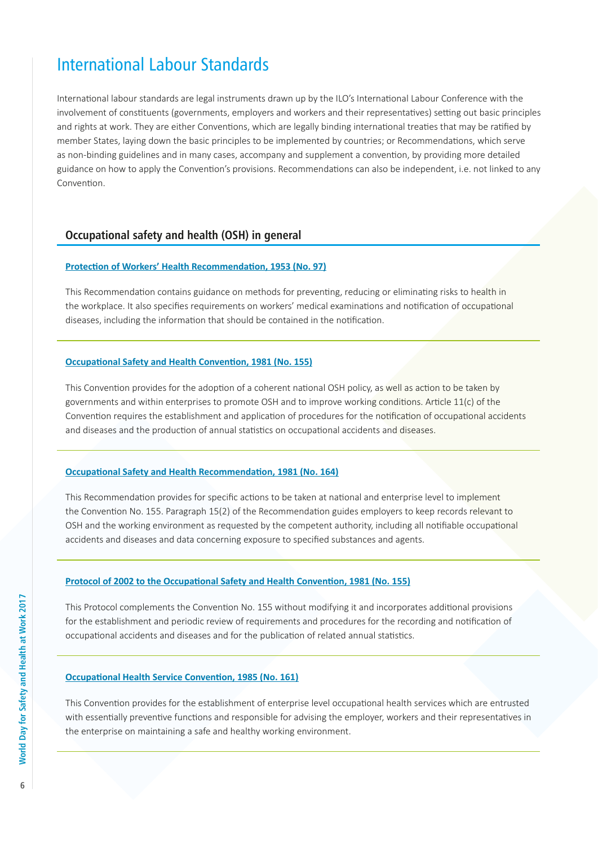# International Labour Standards

International labour standards are legal instruments drawn up by the ILO's International Labour Conference with the involvement of constituents (governments, employers and workers and their representatives) setting out basic principles and rights at work. They are either Conventions, which are legally binding international treaties that may be ratified by member States, laying down the basic principles to be implemented by countries; or Recommendations, which serve as non-binding guidelines and in many cases, accompany and supplement a convention, by providing more detailed guidance on how to apply the Convention's provisions. Recommendations can also be independent, i.e. not linked to any Convention.

# **Occupational safety and health (OSH) in general**

# **Protection of Workers' Health Recommendation, 1953 (No. 97)**

This Recommendation contains guidance on methods for preventing, reducing or eliminating risks to health in the workplace. It also specifies requirements on workers' medical examinations and notification of occupational diseases, including the information that should be contained in the notification.

## **Occupational Safety and Health Convention, 1981 (No. 155)**

This Convention provides for the adoption of a coherent national OSH policy, as well as action to be taken by governments and within enterprises to promote OSH and to improve working conditions. Article 11(c) of the Convention requires the establishment and application of procedures for the notification of occupational accidents and diseases and the production of annual statistics on occupational accidents and diseases.

#### **Occupational Safety and Health Recommendation, 1981 (No. 164)**

This Recommendation provides for specific actions to be taken at national and enterprise level to implement the Convention No. 155. Paragraph 15(2) of the Recommendation guides employers to keep records relevant to OSH and the working environment as requested by the competent authority, including all notifiable occupational accidents and diseases and data concerning exposure to specified substances and agents.

# **Protocol of 2002 to the Occupational Safety and Health Convention, 1981 (No. 155)**

This Protocol complements the Convention No. 155 without modifying it and incorporates additional provisions for the establishment and periodic review of requirements and procedures for the recording and notification of occupational accidents and diseases and for the publication of related annual statistics.

## **Occupational Health Service Convention, 1985 (No. 161)**

This Convention provides for the establishment of enterprise level occupational health services which are entrusted with essentially preventive functions and responsible for advising the employer, workers and their representatives in the enterprise on maintaining a safe and healthy working environment.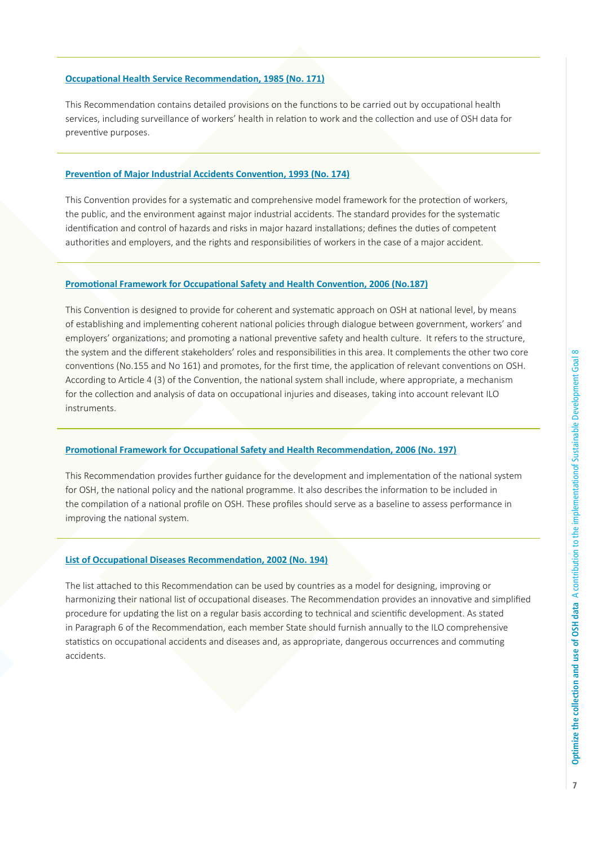# **Occupational Health Service Recommendation, 1985 (No. 171)**

This Recommendation contains detailed provisions on the functions to be carried out by occupational health services, including surveillance of workers' health in relation to work and the collection and use of OSH data for preventive purposes.

### **Prevention of Major Industrial Accidents Convention, 1993 (No. 174)**

This Convention provides for a systematic and comprehensive model framework for the protection of workers, the public, and the environment against major industrial accidents. The standard provides for the systematic identification and control of hazards and risks in major hazard installations; defines the duties of competent authorities and employers, and the rights and responsibilities of workers in the case of a major accident.

#### **Promotional Framework for Occupational Safety and Health Convention, 2006 (No.187)**

This Convention is designed to provide for coherent and systematic approach on OSH at national level, by means of establishing and implementing coherent national policies through dialogue between government, workers' and employers' organizations; and promoting a national preventive safety and health culture. It refers to the structure, the system and the different stakeholders' roles and responsibilities in this area. It complements the other two core conventions (No.155 and No 161) and promotes, for the first time, the application of relevant conventions on OSH. According to Article 4 (3) of the Convention, the national system shall include, where appropriate, a mechanism for the collection and analysis of data on occupational injuries and diseases, taking into account relevant ILO instruments.

#### **Promotional Framework for Occupational Safety and Health Recommendation, 2006 (No. 197)**

This Recommendation provides further guidance for the development and implementation of the national system for OSH, the national policy and the national programme. It also describes the information to be included in the compilation of a national profile on OSH. These profiles should serve as a baseline to assess performance in improving the national system.

#### **List of Occupational Diseases Recommendation, 2002 (No. 194)**

The list attached to this Recommendation can be used by countries as a model for designing, improving or harmonizing their national list of occupational diseases. The Recommendation provides an innovative and simplified procedure for updating the list on a regular basis according to technical and scientific development. As stated in Paragraph 6 of the Recommendation, each member State should furnish annually to the ILO comprehensive statistics on occupational accidents and diseases and, as appropriate, dangerous occurrences and commuting accidents.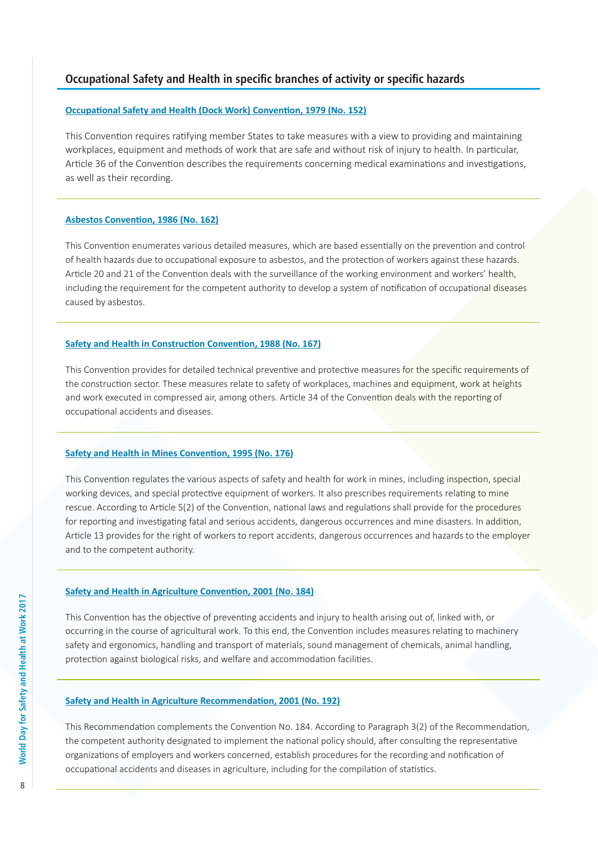# **Occupational Safety and Health in specific branches of activity or specific hazards**

# **Occupational Safety and Health (Dock Work) Convention, 1979 (No. 152)**

This Convention requires ratifying member States to take measures with a view to providing and maintaining workplaces, equipment and methods of work that are safe and without risk of injury to health. In particular, Article 36 of the Convention describes the requirements concerning medical examinations and investigations, as well as their recording.

# **Asbestos Convention, 1986 (No. 162)**

This Convention enumerates various detailed measures, which are based essentially on the prevention and control of health hazards due to occupational exposure to asbestos, and the protection of workers against these hazards. Article 20 and 21 of the Convention deals with the surveillance of the working environment and workers' health, including the requirement for the competent authority to develop a system of notification of occupational diseases caused by asbestos.

# **Safety and Health in Construction Convention, 1988 (No. 167)**

This Convention provides for detailed technical preventive and protective measures for the specific requirements of the construction sector. These measures relate to safety of workplaces, machines and equipment, work at heights and work executed in compressed air, among others. Article 34 of the Convention deals with the reporting of occupational accidents and diseases.

# **Safety and Health in Mines Convention, 1995 (No. 176)**

This Convention regulates the various aspects of safety and health for work in mines, including inspection, special working devices, and special protective equipment of workers. It also prescribes requirements relating to mine rescue. According to Article 5(2) of the Convention, national laws and regulations shall provide for the procedures for reporting and investigating fatal and serious accidents, dangerous occurrences and mine disasters. In addition, Article 13 provides for the right of workers to report accidents, dangerous occurrences and hazards to the employer and to the competent authority.

# **Safety and Health in Agriculture Convention, 2001 (No. 184)**

This Convention has the objective of preventing accidents and injury to health arising out of, linked with, or occurring in the course of agricultural work. To this end, the Convention includes measures relating to machinery safety and ergonomics, handling and transport of materials, sound management of chemicals, animal handling, protection against biological risks, and welfare and accommodation facilities.

# **Safety and Health in Agriculture Recommendation, 2001 (No. 192)**

This Recommendation complements the Convention No. 184. According to Paragraph 3(2) of the Recommendation, the competent authority designated to implement the national policy should, after consulting the representative organizations of employers and workers concerned, establish procedures for the recording and notification of occupational accidents and diseases in agriculture, including for the compilation of statistics.

8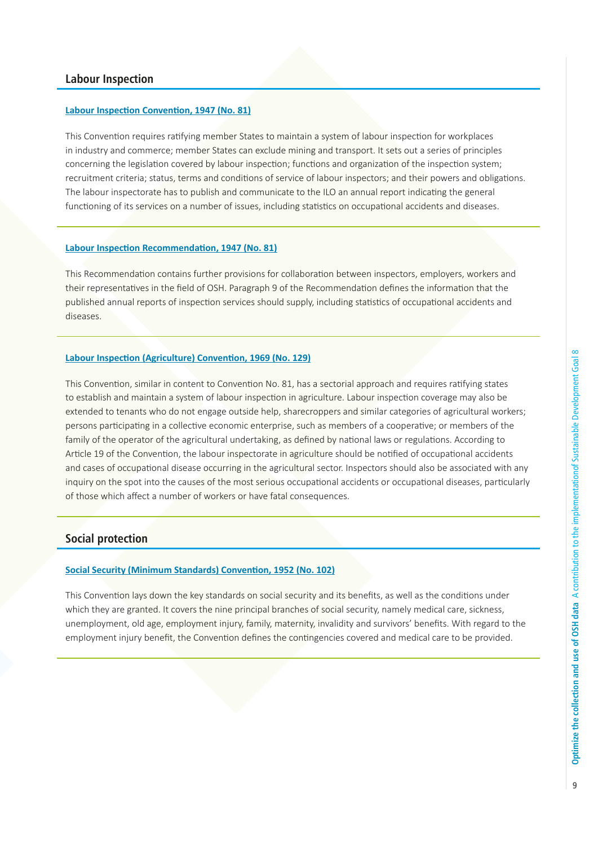# **Labour Inspection**

#### **Labour Inspection Convention, 1947 (No. 81)**

This Convention requires ratifying member States to maintain a system of labour inspection for workplaces in industry and commerce; member States can exclude mining and transport. It sets out a series of principles concerning the legislation covered by labour inspection; functions and organization of the inspection system; recruitment criteria; status, terms and conditions of service of labour inspectors; and their powers and obligations. The labour inspectorate has to publish and communicate to the ILO an annual report indicating the general functioning of its services on a number of issues, including statistics on occupational accidents and diseases.

# **Labour Inspection Recommendation, 1947 (No. 81)**

This Recommendation contains further provisions for collaboration between inspectors, employers, workers and their representatives in the field of OSH. Paragraph 9 of the Recommendation defines the information that the published annual reports of inspection services should supply, including statistics of occupational accidents and diseases.

# **Labour Inspection (Agriculture) Convention, 1969 (No. 129)**

This Convention, similar in content to Convention No. 81, has a sectorial approach and requires ratifying states to establish and maintain a system of labour inspection in agriculture. Labour inspection coverage may also be extended to tenants who do not engage outside help, sharecroppers and similar categories of agricultural workers; persons participating in a collective economic enterprise, such as members of a cooperative; or members of the family of the operator of the agricultural undertaking, as defined by national laws or regulations. According to Article 19 of the Convention, the labour inspectorate in agriculture should be notified of occupational accidents and cases of occupational disease occurring in the agricultural sector. Inspectors should also be associated with any inquiry on the spot into the causes of the most serious occupational accidents or occupational diseases, particularly of those which affect a number of workers or have fatal consequences.

# **Social protection**

# **Social Security (Minimum Standards) Convention, 1952 (No. 102)**

This Convention lays down the key standards on social security and its benefits, as well as the conditions under which they are granted. It covers the nine principal branches of social security, namely medical care, sickness, unemployment, old age, employment injury, family, maternity, invalidity and survivors' benefits. With regard to the employment injury benefit, the Convention defines the contingencies covered and medical care to be provided.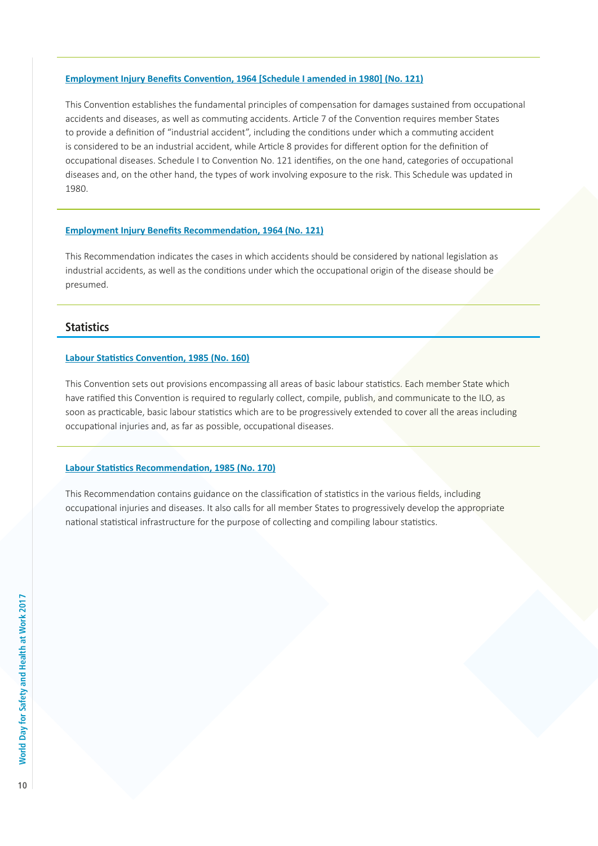# **Employment Injury Benefits Convention, 1964 [Schedule I amended in 1980] (No. 121)**

This Convention establishes the fundamental principles of compensation for damages sustained from occupational accidents and diseases, as well as commuting accidents. Article 7 of the Convention requires member States to provide a definition of "industrial accident", including the conditions under which a commuting accident is considered to be an industrial accident, while Article 8 provides for different option for the definition of occupational diseases. Schedule I to Convention No. 121 identifies, on the one hand, categories of occupational diseases and, on the other hand, the types of work involving exposure to the risk. This Schedule was updated in 1980.

#### **Employment Injury Benefits Recommendation, 1964 (No. 121)**

This Recommendation indicates the cases in which accidents should be considered by national legislation as industrial accidents, as well as the conditions under which the occupational origin of the disease should be presumed.

# **Statistics**

# **Labour Statistics Convention, 1985 (No. 160)**

This Convention sets out provisions encompassing all areas of basic labour statistics. Each member State which have ratified this Convention is required to regularly collect, compile, publish, and communicate to the ILO, as soon as practicable, basic labour statistics which are to be progressively extended to cover all the areas including occupational injuries and, as far as possible, occupational diseases.

# **Labour Statistics Recommendation, 1985 (No. 170)**

This Recommendation contains guidance on the classification of statistics in the various fields, including occupational injuries and diseases. It also calls for all member States to progressively develop the appropriate national statistical infrastructure for the purpose of collecting and compiling labour statistics.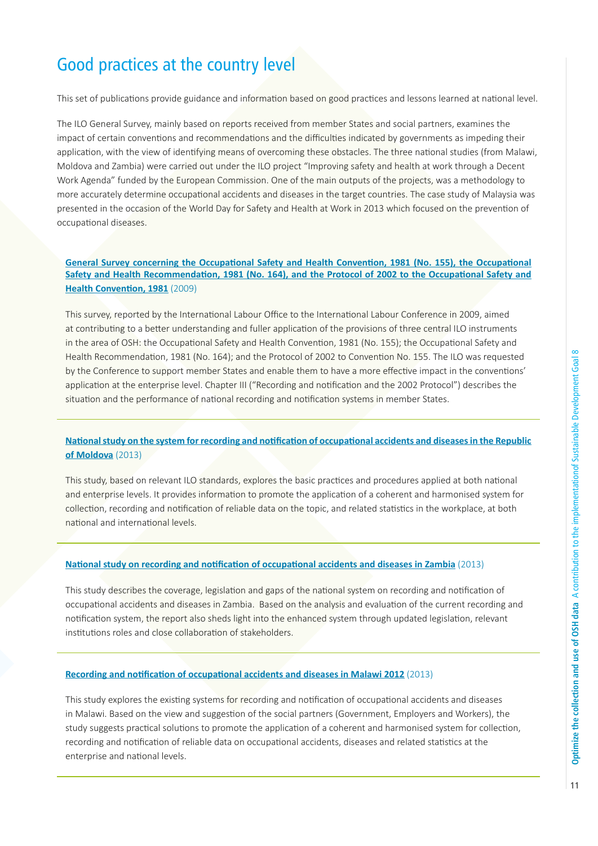# Good practices at the country level

This set of publications provide guidance and information based on good practices and lessons learned at national level.

The ILO General Survey, mainly based on reports received from member States and social partners, examines the impact of certain conventions and recommendations and the difficulties indicated by governments as impeding their application, with the view of identifying means of overcoming these obstacles. The three national studies (from Malawi, Moldova and Zambia) were carried out under the ILO project "Improving safety and health at work through a Decent Work Agenda" funded by the European Commission. One of the main outputs of the projects, was a methodology to more accurately determine occupational accidents and diseases in the target countries. The case study of Malaysia was presented in the occasion of the World Day for Safety and Health at Work in 2013 which focused on the prevention of occupational diseases.

# **General Survey concerning the Occupational Safety and Health Convention, 1981 (No. 155), the Occupational Safety and Health Recommendation, 1981 (No. 164), and the Protocol of 2002 to the Occupational Safety and Health Convention, 1981** (2009)

This survey, reported by the International Labour Office to the International Labour Conference in 2009, aimed at contributing to a better understanding and fuller application of the provisions of three central ILO instruments in the area of OSH: the Occupational Safety and Health Convention, 1981 (No. 155); the Occupational Safety and Health Recommendation, 1981 (No. 164); and the Protocol of 2002 to Convention No. 155. The ILO was requested by the Conference to support member States and enable them to have a more effective impact in the conventions' application at the enterprise level. Chapter III ("Recording and notification and the 2002 Protocol") describes the situation and the performance of national recording and notification systems in member States.

# **National study on the system for recording and notification of occupational accidents and diseases in the Republic of Moldova** (2013)

This study, based on relevant ILO standards, explores the basic practices and procedures applied at both national and enterprise levels. It provides information to promote the application of a coherent and harmonised system for collection, recording and notification of reliable data on the topic, and related statistics in the workplace, at both national and international levels.

# **National study on recording and notification of occupational accidents and diseases in Zambia** (2013)

This study describes the coverage, legislation and gaps of the national system on recording and notification of occupational accidents and diseases in Zambia. Based on the analysis and evaluation of the current recording and notification system, the report also sheds light into the enhanced system through updated legislation, relevant institutions roles and close collaboration of stakeholders.

#### **Recording and notification of occupational accidents and diseases in Malawi 2012** (2013)

This study explores the existing systems for recording and notification of occupational accidents and diseases in Malawi. Based on the view and suggestion of the social partners (Government, Employers and Workers), the study suggests practical solutions to promote the application of a coherent and harmonised system for collection, recording and notification of reliable data on occupational accidents, diseases and related statistics at the enterprise and national levels.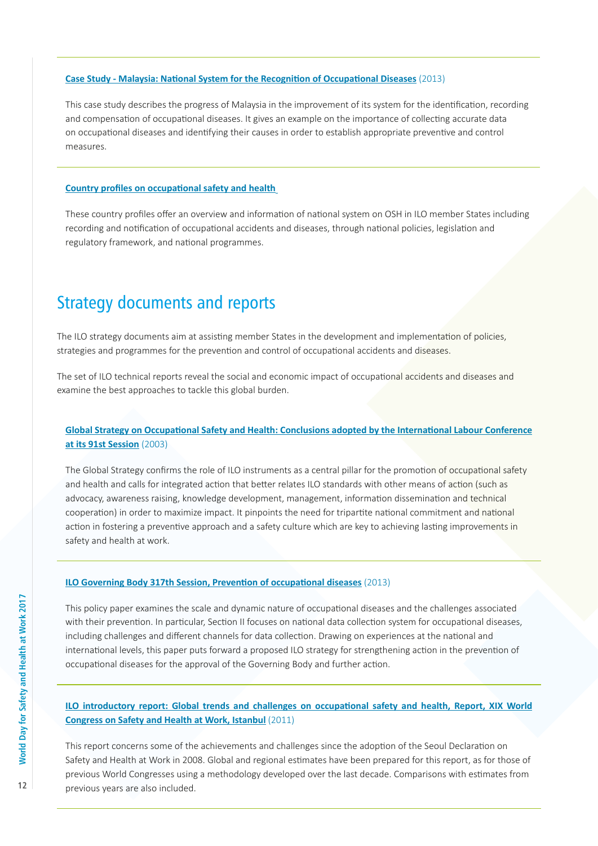# **Case Study - Malaysia: National System for the Recognition of Occupational Diseases** (2013)

This case study describes the progress of Malaysia in the improvement of its system for the identification, recording and compensation of occupational diseases. It gives an example on the importance of collecting accurate data on occupational diseases and identifying their causes in order to establish appropriate preventive and control measures.

# **Country profiles on occupational safety and health**

These country profiles offer an overview and information of national system on OSH in ILO member States including recording and notification of occupational accidents and diseases, through national policies, legislation and regulatory framework, and national programmes.

# Strategy documents and reports

The ILO strategy documents aim at assisting member States in the development and implementation of policies, strategies and programmes for the prevention and control of occupational accidents and diseases.

The set of ILO technical reports reveal the social and economic impact of occupational accidents and diseases and examine the best approaches to tackle this global burden.

# **Global Strategy on Occupational Safety and Health: Conclusions adopted by the International Labour Conference at its 91st Session** (2003)

The Global Strategy confirms the role of ILO instruments as a central pillar for the promotion of occupational safety and health and calls for integrated action that better relates ILO standards with other means of action (such as advocacy, awareness raising, knowledge development, management, information dissemination and technical cooperation) in order to maximize impact. It pinpoints the need for tripartite national commitment and national action in fostering a preventive approach and a safety culture which are key to achieving lasting improvements in safety and health at work.

## **ILO Governing Body 317th Session, Prevention of occupational diseases** (2013)

This policy paper examines the scale and dynamic nature of occupational diseases and the challenges associated with their prevention. In particular, Section II focuses on national data collection system for occupational diseases, including challenges and different channels for data collection. Drawing on experiences at the national and international levels, this paper puts forward a proposed ILO strategy for strengthening action in the prevention of occupational diseases for the approval of the Governing Body and further action.

# **ILO introductory report: Global trends and challenges on occupational safety and health, Report, XIX World Congress on Safety and Health at Work, Istanbul** (2011)

This report concerns some of the achievements and challenges since the adoption of the Seoul Declaration on Safety and Health at Work in 2008. Global and regional estimates have been prepared for this report, as for those of previous World Congresses using a methodology developed over the last decade. Comparisons with estimates from previous years are also included.